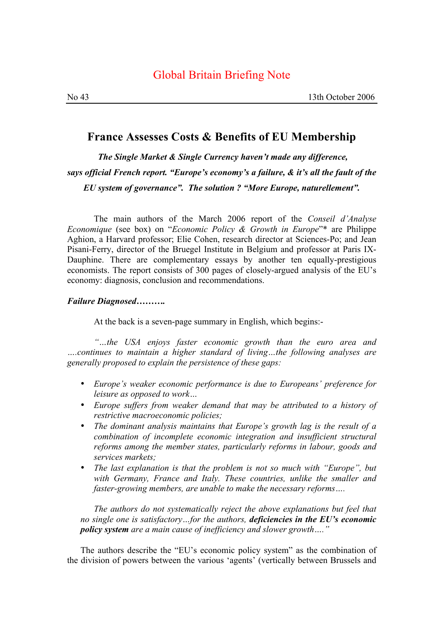## Global Britain Briefing Note

## **France Assesses Costs & Benefits of EU Membership**

*The Single Market & Single Currency haven't made any difference, says official French report. "Europe's economy's a failure, & it's all the fault of the EU system of governance". The solution ? "More Europe, naturellement".* 

The main authors of the March 2006 report of the *Conseil d'Analyse Economique* (see box) on "*Economic Policy & Growth in Europe*"\* are Philippe Aghion, a Harvard professor; Elie Cohen, research director at Sciences-Po; and Jean Pisani-Ferry, director of the Bruegel Institute in Belgium and professor at Paris IX-Dauphine. There are complementary essays by another ten equally-prestigious economists. The report consists of 300 pages of closely-argued analysis of the EU's economy: diagnosis, conclusion and recommendations.

## *Failure Diagnosed……….*

At the back is a seven-page summary in English, which begins:-

*"…the USA enjoys faster economic growth than the euro area and ….continues to maintain a higher standard of living…the following analyses are generally proposed to explain the persistence of these gaps:*

- *Europe's weaker economic performance is due to Europeans' preference for leisure as opposed to work…*
- *Europe suffers from weaker demand that may be attributed to a history of restrictive macroeconomic policies;*
- *The dominant analysis maintains that Europe's growth lag is the result of a combination of incomplete economic integration and insufficient structural reforms among the member states, particularly reforms in labour, goods and services markets;*
- *The last explanation is that the problem is not so much with "Europe", but with Germany, France and Italy. These countries, unlike the smaller and faster-growing members, are unable to make the necessary reforms….*

*The authors do not systematically reject the above explanations but feel that no single one is satisfactory…for the authors, deficiencies in the EU's economic policy system are a main cause of inefficiency and slower growth…."*

The authors describe the "EU's economic policy system" as the combination of the division of powers between the various 'agents' (vertically between Brussels and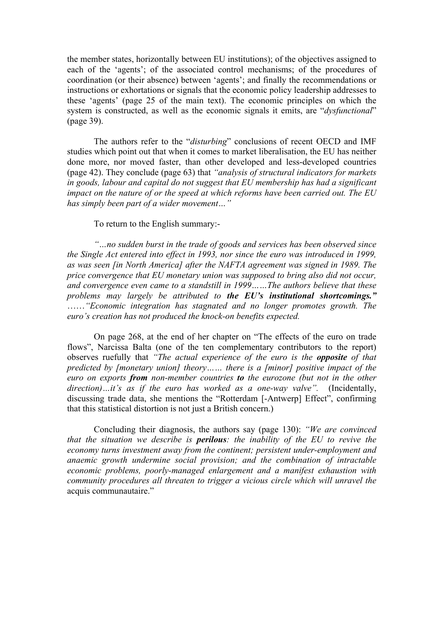the member states, horizontally between EU institutions); of the objectives assigned to each of the 'agents'; of the associated control mechanisms; of the procedures of coordination (or their absence) between 'agents'; and finally the recommendations or instructions or exhortations or signals that the economic policy leadership addresses to these 'agents' (page 25 of the main text). The economic principles on which the system is constructed, as well as the economic signals it emits, are "*dysfunctional*" (page 39).

The authors refer to the "*disturbing*" conclusions of recent OECD and IMF studies which point out that when it comes to market liberalisation, the EU has neither done more, nor moved faster, than other developed and less-developed countries (page 42). They conclude (page 63) that *"analysis of structural indicators for markets in goods, labour and capital do not suggest that EU membership has had a significant impact on the nature of or the speed at which reforms have been carried out. The EU has simply been part of a wider movement…"*

To return to the English summary:-

*"…no sudden burst in the trade of goods and services has been observed since the Single Act entered into effect in 1993, nor since the euro was introduced in 1999, as was seen [in North America] after the NAFTA agreement was signed in 1989. The price convergence that EU monetary union was supposed to bring also did not occur, and convergence even came to a standstill in 1999……The authors believe that these problems may largely be attributed to the EU's institutional shortcomings."*  ……*"Economic integration has stagnated and no longer promotes growth. The euro's creation has not produced the knock-on benefits expected.* 

On page 268, at the end of her chapter on "The effects of the euro on trade flows", Narcissa Balta (one of the ten complementary contributors to the report) observes ruefully that *"The actual experience of the euro is the opposite of that predicted by [monetary union] theory…… there is a [minor] positive impact of the euro on exports from non-member countries to the eurozone (but not in the other direction)…it's as if the euro has worked as a one-way valve".* (Incidentally, discussing trade data, she mentions the "Rotterdam [-Antwerp] Effect", confirming that this statistical distortion is not just a British concern.)

Concluding their diagnosis, the authors say (page 130): *"We are convinced that the situation we describe is perilous: the inability of the EU to revive the economy turns investment away from the continent; persistent under-employment and anaemic growth undermine social provision; and the combination of intractable economic problems, poorly-managed enlargement and a manifest exhaustion with community procedures all threaten to trigger a vicious circle which will unravel the*  acquis communautaire."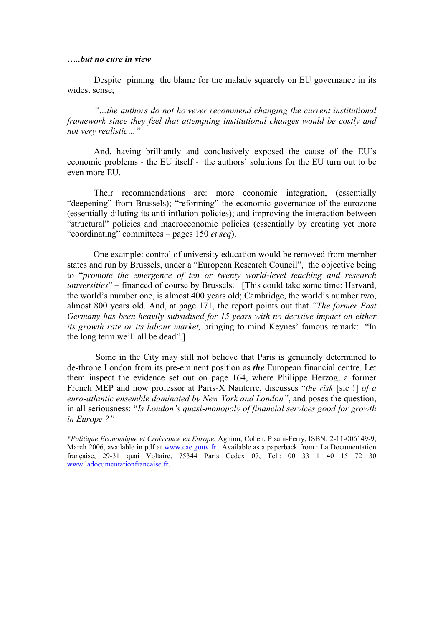## *…..but no cure in view*

Despite pinning the blame for the malady squarely on EU governance in its widest sense,

*"…the authors do not however recommend changing the current institutional framework since they feel that attempting institutional changes would be costly and not very realistic…"*

And, having brilliantly and conclusively exposed the cause of the EU's economic problems - the EU itself - the authors' solutions for the EU turn out to be even more EU.

Their recommendations are: more economic integration, (essentially "deepening" from Brussels); "reforming" the economic governance of the eurozone (essentially diluting its anti-inflation policies); and improving the interaction between "structural" policies and macroeconomic policies (essentially by creating yet more "coordinating" committees – pages 150 *et seq*).

One example: control of university education would be removed from member states and run by Brussels, under a "European Research Council", the objective being to "*promote the emergence of ten or twenty world-level teaching and research universities*" – financed of course by Brussels. [This could take some time: Harvard, the world's number one, is almost 400 years old; Cambridge, the world's number two, almost 800 years old. And, at page 171, the report points out that *"The former East Germany has been heavily subsidised for 15 years with no decisive impact on either its growth rate or its labour market,* bringing to mind Keynes' famous remark: "In the long term we'll all be dead".]

Some in the City may still not believe that Paris is genuinely determined to de-throne London from its pre-eminent position as *the* European financial centre. Let them inspect the evidence set out on page 164, where Philippe Herzog, a former French MEP and now professor at Paris-X Nanterre, discusses "*the risk* [sic !] *of a euro-atlantic ensemble dominated by New York and London"*, and poses the question, in all seriousness: "*Is London's quasi-monopoly of financial services good for growth in Europe ?"* 

\**Politique Economique et Croissance en Europe*, Aghion, Cohen, Pisani-Ferry, ISBN: 2-11-006149-9, March 2006, available in pdf at www.cae.gouv.fr . Available as a paperback from : La Documentation française, 29-31 quai Voltaire, 75344 Paris Cedex 07, Tel : 00 33 1 40 15 72 30 www.ladocumentationfrancaise.fr.